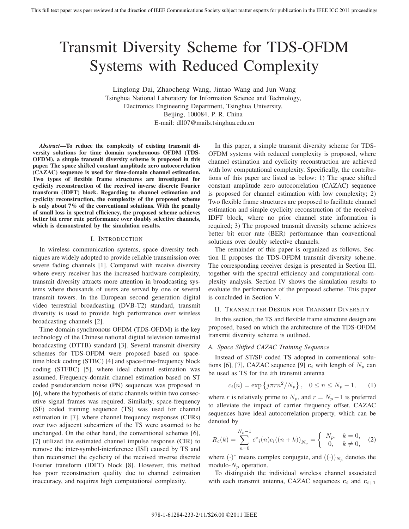# Transmit Diversity Scheme for TDS-OFDM Systems with Reduced Complexity

Linglong Dai, Zhaocheng Wang, Jintao Wang and Jun Wang Tsinghua National Laboratory for Information Science and Technology, Electronics Engineering Department, Tsinghua University, Beijing, 100084, P. R. China E-mail: dll07@mails.tsinghua.edu.cn

*Abstract***—To reduce the complexity of existing transmit diversity solutions for time domain synchronous OFDM (TDS-OFDM), a simple transmit diversity scheme is proposed in this paper. The space shifted constant amplitude zero autocorrelation (CAZAC) sequence is used for time-domain channel estimation. Two types of flexible frame structures are investigated for cyclicity reconstruction of the received inverse discrete Fourier transform (IDFT) block. Regarding to channel estimation and cyclicity reconstruction, the complexity of the proposed scheme is only about 7% of the conventional solutions. With the penalty of small loss in spectral efficiency, the proposed scheme achieves better bit error rate performance over doubly selective channels, which is demonstrated by the simulation results.**

## I. INTRODUCTION

In wireless communication systems, space diversity techniques are widely adopted to provide reliable transmission over severe fading channels [1]. Compared with receive diversity where every receiver has the increased hardware complexity, transmit diversity attracts more attention in broadcasting systems where thousands of users are served by one or several transmit towers. In the European second generation digital video terrestrial broadcasting (DVB-T2) standard, transmit diversity is used to provide high performance over wireless broadcasting channels [2].

Time domain synchronous OFDM (TDS-OFDM) is the key technology of the Chinese national digital television terrestrial broadcasting (DTTB) standard [3]. Several transmit diversity schemes for TDS-OFDM were proposed based on spacetime block coding (STBC) [4] and space-time-frequency block coding (STFBC) [5], where ideal channel estimation was assumed. Frequency-domain channel estimation based on ST coded pseudorandom noise (PN) sequences was proposed in [6], where the hypothesis of static channels within two consecutive signal frames was required. Similarly, space-frequency (SF) coded training sequence (TS) was used for channel estimation in [7], where channel frequency responses (CFRs) over two adjacent subcarriers of the TS were assumed to be unchanged. On the other hand, the conventional schemes [6], [7] utilized the estimated channel impulse response (CIR) to remove the inter-symbol-interference (ISI) caused by TS and then reconstruct the cyclicity of the received inverse discrete Fourier transform (IDFT) block [8]. However, this method has poor reconstruction quality due to channel estimation inaccuracy, and requires high computational complexity.

In this paper, a simple transmit diversity scheme for TDS-OFDM systems with reduced complexity is proposed, where channel estimation and cyclicity reconstruction are achieved with low computational complexity. Specifically, the contributions of this paper are listed as below: 1) The space shifted constant amplitude zero autocorrelation (CAZAC) sequence is proposed for channel estimation with low complexity; 2) Two flexible frame structures are proposed to facilitate channel estimation and simple cyclicity reconstruction of the received IDFT block, where no prior channel state information is required; 3) The proposed transmit diversity scheme achieves better bit error rate (BER) performance than conventional solutions over doubly selective channels.

The remainder of this paper is organized as follows. Section II proposes the TDS-OFDM transmit diversity scheme. The corresponding receiver design is presented in Section III, together with the spectral efficiency and computational complexity analysis. Section IV shows the simulation results to evaluate the performance of the proposed scheme. This paper is concluded in Section V.

## II. TRANSMITTER DESIGN FOR TRANSMIT DIVERSITY

In this section, the TS and flexible frame structure design are proposed, based on which the architecture of the TDS-OFDM transmit diversity scheme is outlined.

## *A. Space Shifted CAZAC Training Sequence*

Instead of ST/SF coded TS adopted in conventional solutions [6], [7], CAZAC sequence [9]  $c_i$  with length of  $N_p$  can be used as TS for the ith transmit antenna

$$
c_i(n) = \exp\{j\pi r n^2 / N_p\}, \quad 0 \le n \le N_p - 1,\tag{1}
$$

where r is relatively prime to  $N_p$ , and  $r = N_p - 1$  is preferred to alleviate the impact of carrier frequency offset. CAZAC sequences have ideal autocorrelation property, which can be denoted by

$$
R_c(k) = \sum_{n=0}^{N_p - 1} c^*_{i}(n)c_i((n+k))_{N_p} = \begin{cases} N_p, & k = 0, \\ 0, & k \neq 0, \end{cases}
$$
 (2)

where  $(\cdot)^*$  means complex conjugate, and  $((\cdot))_{N_p}$  denotes the modulo-N*<sup>p</sup>* operation.

To distinguish the individual wireless channel associated with each transmit antenna, CAZAC sequences  $\mathbf{c}_i$  and  $\mathbf{c}_{i+1}$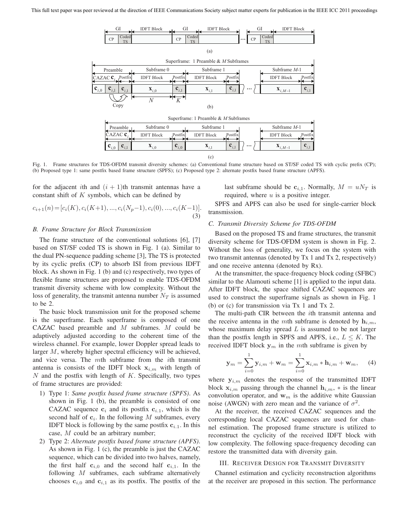

Fig. 1. Frame structures for TDS-OFDM transmit diversity schemes: (a) Conventional frame structure based on ST/SF coded TS with cyclic prefix (CP); (b) Proposed type 1: same postfix based frame structure (SPFS); (c) Proposed type 2: alternate postfix based frame structure (APFS).

for the adjacent *i*th and  $(i + 1)$ th transmit antennas have a constant shift of  $K$  symbols, which can be defined by

$$
c_{i+1}(n) = [c_i(K), c_i(K+1), ..., c_i(N_p-1), c_i(0), ..., c_i(K-1)].
$$
\n(3)

## *B. Frame Structure for Block Transmission*

The frame structure of the conventional solutions [6], [7] based on ST/SF coded TS is shown in Fig. 1 (a). Similar to the dual PN-sequence padding scheme [3], The TS is protected by its cyclic prefix (CP) to absorb ISI from previous IDFT block. As shown in Fig. 1 (b) and (c) respectively, two types of flexible frame structures are proposed to enable TDS-OFDM transmit diversity scheme with low complexity. Without the loss of generality, the transmit antenna number  $N_T$  is assumed to be 2.

The basic block transmission unit for the proposed scheme is the superframe. Each superframe is composed of one CAZAC based preamble and M subframes. M could be adaptively adjusted according to the coherent time of the wireless channel. For example, lower Doppler spread leads to larger M, whereby higher spectral efficiency will be achieved, and vice versa. The mth subframe from the ith transmit antenna is consists of the IDFT block  $\mathbf{x}_{i,m}$  with length of  $N$  and the postfix with length of  $K$ . Specifically, two types of frame structures are provided:

- 1) Type 1: *Same postfix based frame structure (SPFS)*. As shown in Fig. 1 (b), the preamble is consisted of one CAZAC sequence  $\mathbf{c}_i$  and its postfix  $\mathbf{c}_{i,1}$ , which is the second half of  $c_i$ . In the following M subframes, every **IDFT** block is following by the same postfix  $c_{i,1}$ . In this case, M could be an arbitrary number;
- 2) Type 2: *Alternate postfix based frame structure (APFS)*. As shown in Fig. 1 (c), the preamble is just the CAZAC sequence, which can be divided into two halves, namely, the first half  $c_{i,0}$  and the second half  $c_{i,1}$ . In the following  $M$  subframes, each subframe alternatively chooses  $c_{i,0}$  and  $c_{i,1}$  as its postfix. The postfix of the

last subframe should be  $c_{i,1}$ . Normally,  $M = uN_T$  is required, where  $u$  is a positive integer.

SPFS and APFS can also be used for single-carrier block transmission.

# *C. Transmit Diversity Scheme for TDS-OFDM*

Based on the proposed TS and frame structures, the transmit diversity scheme for TDS-OFDM system is shown in Fig. 2. Without the loss of generality, we focus on the system with two transmit antennas (denoted by Tx 1 and Tx 2, respectively) and one receive antenna (denoted by Rx).

At the transmitter, the space-frequency block coding (SFBC) similar to the Alamouti scheme [1] is applied to the input data. After IDFT block, the space shifted CAZAC sequences are used to construct the superframe signals as shown in Fig. 1 (b) or (c) for transmission via Tx 1 and Tx 2.

The multi-path CIR between the ith transmit antenna and the receive antenna in the mth subframe is denoted by  $h_{i,m}$ , whose maximum delay spread  $L$  is assumed to be not larger than the postfix length in SPFS and APFS, i.e.,  $L \leq K$ . The received IDFT block  $y_m$  in the mth subframe is given by

$$
\mathbf{y}_{m} = \sum_{i=0}^{1} \mathbf{y}_{i,m} + \mathbf{w}_{m} = \sum_{i=0}^{1} \mathbf{x}_{i,m} * \mathbf{h}_{i,m} + \mathbf{w}_{m}, \quad (4)
$$

where  $y_{i,m}$  denotes the response of the transmitted IDFT block  $\mathbf{x}_{i,m}$  passing through the channel  $\mathbf{h}_{i,m}$ ,  $*$  is the linear convolution operator, and  $w_m$  is the additive white Gaussian noise (AWGN) with zero mean and the variance of  $\sigma^2$ .

At the receiver, the received CAZAC sequences and the corresponding local CAZAC sequences are used for channel estimation. The proposed frame structure is utilized to reconstruct the cyclicity of the received IDFT block with low complexity. The following space-frequency decoding can restore the transmitted data with diversity gain.

#### III. RECEIVER DESIGN FOR TRANSMIT DIVERSITY

Channel estimation and cyclicity reconstruction algorithms at the receiver are proposed in this section. The performance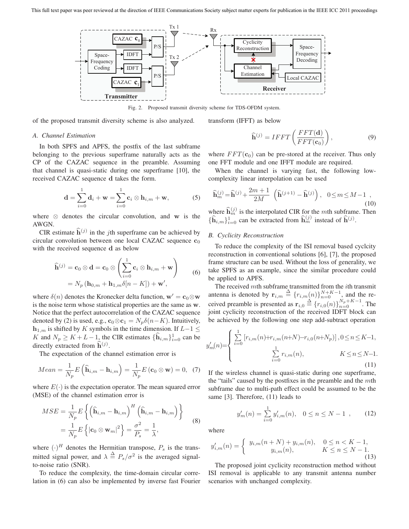

Fig. 2. Proposed transmit diversity scheme for TDS-OFDM system.

of the proposed transmit diversity scheme is also analyzed.

transform (IFFT) as below

# *A. Channel Estimation*

In both SPFS and APFS, the postfix of the last subframe belonging to the previous superframe naturally acts as the CP of the CAZAC sequence in the preamble. Assuming that channel is quasi-static during one superframe [10], the received CAZAC sequence **d** takes the form.

$$
\mathbf{d} = \sum_{i=0}^{1} \mathbf{d}_i + \mathbf{w} = \sum_{i=0}^{1} \mathbf{c}_i \otimes \mathbf{h}_{i,m} + \mathbf{w},
$$
 (5)

where ⊗ denotes the circular convolution, and **w** is the AWGN.

CIR estimate  $\hat{\mathbf{h}}^{(j)}$  in the *j*th superframe can be achieved by circular convolution between one local CAZAC sequence **c**<sup>0</sup> with the received sequence **d** as below

$$
\widehat{\mathbf{h}}^{(j)} = \mathbf{c}_0 \otimes \mathbf{d} = \mathbf{c}_0 \otimes \left( \sum_{i=0}^1 \mathbf{c}_i \otimes \mathbf{h}_{i,m} + \mathbf{w} \right) \tag{6}
$$
\n
$$
= N_p \left( \mathbf{h}_{0,m} + \mathbf{h}_{1,m} \delta[n - K] \right) + \mathbf{w}',
$$

where  $\delta(n)$  denotes the Kronecker delta function,  $\mathbf{w}' = \mathbf{c}_0 \otimes \mathbf{w}$ is the noise term whose statistical properties are the same as **w**. Notice that the perfect autocorrelation of the CAZAC sequence denoted by (2) is used, e.g.,  $\mathbf{c}_0 \otimes \mathbf{c}_1 = N_p \delta(n-K)$ . Intuitively,  $h_{1,m}$  is shifted by K symbols in the time dimension. If  $L-1 \leq$ K and  $N_p \ge K + L - 1$ , the CIR estimates  $\{\hat{\mathbf{h}}_{i,m}\}_{i=0}^1$  can be directly extracted from  $\mathbf{h}^{(j)}$ .

The expectation of the channel estimation error is

$$
Mean = \frac{1}{N_p} E\left(\widehat{\mathbf{h}}_{i,m} - \mathbf{h}_{i,m}\right) = \frac{1}{N_p} E\left(\mathbf{c}_0 \otimes \mathbf{w}\right) = 0, \tag{7}
$$

where  $E(\cdot)$  is the expectation operator. The mean squared error (MSE) of the channel estimation error is

$$
MSE = \frac{1}{N_p} E \left\{ \left( \hat{\mathbf{h}}_{i,m} - \mathbf{h}_{i,m} \right)^H \left( \hat{\mathbf{h}}_{i,m} - \mathbf{h}_{i,m} \right) \right\}
$$
  
=  $\frac{1}{N_p} E \left\{ |\mathbf{c}_0 \otimes \mathbf{w}_m|^2 \right\} = \frac{\sigma^2}{P_s} = \frac{1}{\lambda},$  (8)

where  $(\cdot)^H$  denotes the Hermitian transpose,  $P_s$  is the transmitted signal power, and  $\lambda \triangleq P_s/\sigma^2$  is the averaged signalto-noise ratio (SNR).

To reduce the complexity, the time-domain circular correlation in (6) can also be implemented by inverse fast Fourier

$$
\widehat{\mathbf{h}}^{(j)} = IFFT\left(\frac{FFT(\mathbf{d})}{FFT(\mathbf{c}_0)}\right),\tag{9}
$$

where  $FFT(\mathbf{c}_0)$  can be pre-stored at the receiver. Thus only one FFT module and one IFFT module are required.

When the channel is varying fast, the following lowcomplexity linear interpolation can be used

$$
\widehat{\mathbf{h}}_{m}^{(j)} = \widehat{\mathbf{h}}^{(j)} + \frac{2m+1}{2M} \left( \widehat{\mathbf{h}}^{(j+1)} - \widehat{\mathbf{h}}^{(j)} \right), \quad 0 \le m \le M - 1 , \tag{10}
$$

where  $\widehat{\mathbf{h}}_m^{(j)}$  is the interpolated CIR for the *mth* subframe. Then  ${\hat{\mathbf{h}}}_{i,m}^{j}$  $\}_{i=0}^{1}$  can be extracted from  $\hat{\mathbf{h}}_{m}^{(j)}$  instead of  $\hat{\mathbf{h}}^{(j)}$ .

# *B. Cyclicity Reconstruction*

To reduce the complexity of the ISI removal based cyclcity reconstruction in conventional solutions [6], [7], the proposed frame structure can be used. Without the loss of generality, we take SPFS as an example, since the similar procedure could be applied to APFS.

The received mth subframe transmitted from the ith transmit antenna is denoted by  $\mathbf{r}_{i,m} \triangleq \{r_{i,m}(n)\}_{n=0}^{N+K-1}$ , and the received preamble is presented as  $\mathbf{r}_{i,0} \triangleq \{r_{i,0}(n)\}_{n=0}^{N_p + K - 1}$ . The joint cyclicity reconstruction of the received IDFT block can be achieved by the following one step add-subtract operation

$$
y'_{m}(n) = \begin{cases} \sum_{i=0}^{1} \left[ r_{i,m}(n) + r_{i,m}(n+N) - r_{i,0}(n+N_{p}) \right], 0 \leq n \leq K-1, \\ \sum_{i=0}^{1} r_{i,m}(n), & K \leq n \leq N-1. \end{cases}
$$
\n(11)

If the wireless channel is quasi-static during one superframe, the "tails" caused by the postfixes in the preamble and the mth subframe due to multi-path effect could be assumed to be the same [3]. Therefore,  $(11)$  leads to

$$
y'_{m}(n) = \sum_{i=0}^{1} y'_{i,m}(n), \quad 0 \le n \le N - 1 \quad , \tag{12}
$$

where

$$
y'_{i,m}(n) = \begin{cases} y_{i,m}(n+N) + y_{i,m}(n), & 0 \le n < K - 1, \\ y_{i,m}(n), & K \le n \le N - 1. \end{cases}
$$
(13)

The proposed joint cyclicity reconstruction method without ISI removal is applicable to any transmit antenna number scenarios with unchanged complexity.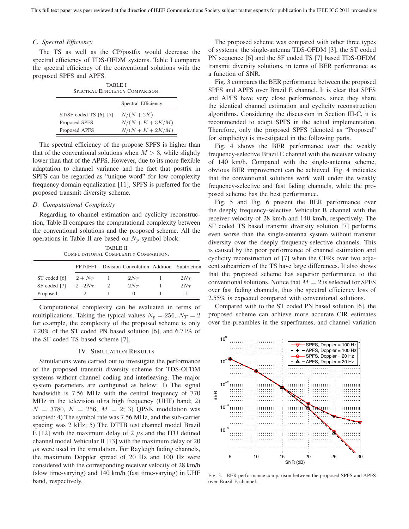## *C. Spectral Efficiency*

The TS as well as the CP/postfix would decrease the spectral efficiency of TDS-OFDM systems. Table I compares the spectral efficiency of the conventional solutions with the proposed SPFS and APFS.

| TABLE I |                                 |  |  |  |  |  |
|---------|---------------------------------|--|--|--|--|--|
|         | SPECTRAL EFFICIENCY COMPARISON. |  |  |  |  |  |

|                         | Spectral Efficiency |  |
|-------------------------|---------------------|--|
| ST/SF coded TS [6], [7] | $N/(N+2K)$          |  |
| Proposed SPFS           | $N/(N+K+3K/M)$      |  |
| Proposed APFS           | $N/(N+K+2K/M)$      |  |

The spectral efficiency of the propose SPFS is higher than that of the conventional solutions when  $M > 3$ , while slightly lower than that of the APFS. However, due to its more flexible adaptation to channel variance and the fact that postfix in SPFS can be regarded as "unique word" for low-complexity frequency domain equalization [11], SPFS is preferred for the proposed transmit diversity scheme.

# *D. Computational Complexity*

Regarding to channel estimation and cyclicity reconstruction, Table II compares the computational complexity between the conventional solutions and the proposed scheme. All the operations in Table II are based on  $N_p$ -symbol block.

TABLE II COMPUTATIONAL COMPLEXITY COMPARISON.

|              |            | FFT/IFFT Division Convolution Addition Subtraction |          |
|--------------|------------|----------------------------------------------------|----------|
| ST coded [6] | $2 + N_T$  | $2N_{T}$                                           | $2N_{T}$ |
| SF coded [7] | $2 + 2N_T$ | $2N_{T}$                                           | $2N_{T}$ |
| Proposed     |            | $\lceil$                                           |          |

Computational complexity can be evaluated in terms of multiplications. Taking the typical values  $N_p = 256$ ,  $N_T = 2$ for example, the complexity of the proposed scheme is only 7.20% of the ST coded PN based solution [6], and 6.71% of the SF coded TS based scheme [7].

# IV. SIMULATION RESULTS

Simulations were carried out to investigate the performance of the proposed transmit diversity scheme for TDS-OFDM systems without channel coding and interleaving. The major system parameters are configured as below: 1) The signal bandwidth is 7.56 MHz with the central frequency of 770 MHz in the television ultra high frequency (UHF) band; 2)  $N = 3780, K = 256, M = 2; 3$  QPSK modulation was adopted; 4) The symbol rate was 7.56 MHz, and the sub-carrier spacing was 2 kHz; 5) The DTTB test channel model Brazil E [12] with the maximum delay of 2  $\mu$ s and the ITU defined channel model Vehicular B [13] with the maximum delay of 20  $\mu$ s were used in the simulation. For Rayleigh fading channels, the maximum Doppler spread of 20 Hz and 100 Hz were considered with the corresponding receiver velocity of 28 km/h (slow time-varying) and 140 km/h (fast time-varying) in UHF band, respectively.

The proposed scheme was compared with other three types of systems: the single-antenna TDS-OFDM [3], the ST coded PN sequence [6] and the SF coded TS [7] based TDS-OFDM transmit diversity solutions, in terms of BER performance as a function of SNR.

Fig. 3 compares the BER performance between the proposed SPFS and APFS over Brazil E channel. It is clear that SPFS and APFS have very close performances, since they share the identical channel estimation and cyclicity reconstruction algorithms. Considering the discussion in Section III-C, it is recommended to adopt SPFS in the actual implementation. Therefore, only the proposed SPFS (denoted as "Proposed" for simplicity) is investigated in the following parts.

Fig. 4 shows the BER performance over the weakly frequency-selective Brazil E channel with the receiver velocity of 140 km/h. Compared with the single-antenna scheme, obvious BER improvement can be achieved. Fig. 4 indicates that the conventional solutions work well under the weakly frequency-selective and fast fading channels, while the proposed scheme has the best performance.

Fig. 5 and Fig. 6 present the BER performance over the deeply frequency-selective Vehicular B channel with the receiver velocity of 28 km/h and 140 km/h, respectively. The SF coded TS based transmit diversity solution [7] performs even worse than the single-antenna system without transmit diversity over the deeply frequency-selective channels. This is caused by the poor performance of channel estimation and cyclicity reconstruction of [7] when the CFRs over two adjacent subcarriers of the TS have large differences. It also shows that the proposed scheme has superior performance to the conventional solutions. Notice that  $M = 2$  is selected for SPFS over fast fading channels, thus the spectral efficiency loss of 2.55% is expected compared with conventional solutions.

Compared with to the ST coded PN based solution [6], the proposed scheme can achieve more accurate CIR estimates over the preambles in the superframes, and channel variation



Fig. 3. BER performance comparison between the proposed SPFS and APFS over Brazil E channel.